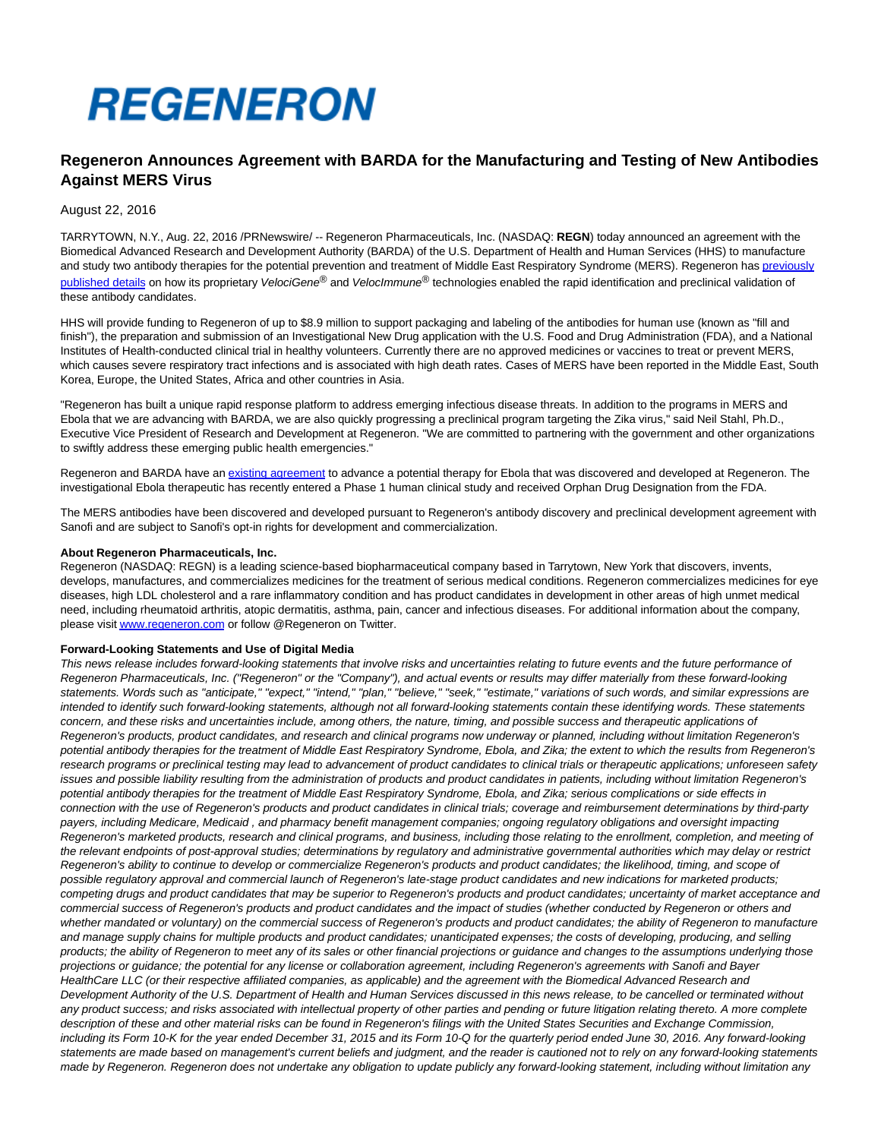# **REGENERON**

# **Regeneron Announces Agreement with BARDA for the Manufacturing and Testing of New Antibodies Against MERS Virus**

## August 22, 2016

TARRYTOWN, N.Y., Aug. 22, 2016 /PRNewswire/ -- Regeneron Pharmaceuticals, Inc. (NASDAQ: **REGN**) today announced an agreement with the Biomedical Advanced Research and Development Authority (BARDA) of the U.S. Department of Health and Human Services (HHS) to manufacture and study two antibody therapies for the potential prevention and treatment of Middle East Respiratory Syndrome (MERS). Regeneron ha[s previously](https://regeneronpharmaceuticalsinc.gcs-web.com/news-releases/news-release-details/regeneron-rapid-response-platform-emerging-infectious-diseases) published details on how its proprietary VelociGene® and VelocImmune® technologies enabled the rapid identification and preclinical validation of these antibody candidates.

HHS will provide funding to Regeneron of up to \$8.9 million to support packaging and labeling of the antibodies for human use (known as "fill and finish"), the preparation and submission of an Investigational New Drug application with the U.S. Food and Drug Administration (FDA), and a National Institutes of Health-conducted clinical trial in healthy volunteers. Currently there are no approved medicines or vaccines to treat or prevent MERS, which causes severe respiratory tract infections and is associated with high death rates. Cases of MERS have been reported in the Middle East, South Korea, Europe, the United States, Africa and other countries in Asia.

"Regeneron has built a unique rapid response platform to address emerging infectious disease threats. In addition to the programs in MERS and Ebola that we are advancing with BARDA, we are also quickly progressing a preclinical program targeting the Zika virus," said Neil Stahl, Ph.D., Executive Vice President of Research and Development at Regeneron. "We are committed to partnering with the government and other organizations to swiftly address these emerging public health emergencies."

Regeneron and BARDA have an [existing agreement t](https://regeneronpharmaceuticalsinc.gcs-web.com/news-releases/news-release-details/regeneron-announces-agreement-barda-development-new-antibody)o advance a potential therapy for Ebola that was discovered and developed at Regeneron. The investigational Ebola therapeutic has recently entered a Phase 1 human clinical study and received Orphan Drug Designation from the FDA.

The MERS antibodies have been discovered and developed pursuant to Regeneron's antibody discovery and preclinical development agreement with Sanofi and are subject to Sanofi's opt-in rights for development and commercialization.

### **About Regeneron Pharmaceuticals, Inc.**

Regeneron (NASDAQ: REGN) is a leading science-based biopharmaceutical company based in Tarrytown, New York that discovers, invents, develops, manufactures, and commercializes medicines for the treatment of serious medical conditions. Regeneron commercializes medicines for eye diseases, high LDL cholesterol and a rare inflammatory condition and has product candidates in development in other areas of high unmet medical need, including rheumatoid arthritis, atopic dermatitis, asthma, pain, cancer and infectious diseases. For additional information about the company, please visi[t www.regeneron.com o](http://www.regeneron.com/)r follow @Regeneron on Twitter.

#### **Forward-Looking Statements and Use of Digital Media**

This news release includes forward-looking statements that involve risks and uncertainties relating to future events and the future performance of Regeneron Pharmaceuticals, Inc. ("Regeneron" or the "Company"), and actual events or results may differ materially from these forward-looking statements. Words such as "anticipate," "expect," "intend," "plan," "believe," "seek," "estimate," variations of such words, and similar expressions are intended to identify such forward-looking statements, although not all forward-looking statements contain these identifying words. These statements concern, and these risks and uncertainties include, among others, the nature, timing, and possible success and therapeutic applications of Regeneron's products, product candidates, and research and clinical programs now underway or planned, including without limitation Regeneron's potential antibody therapies for the treatment of Middle East Respiratory Syndrome, Ebola, and Zika; the extent to which the results from Regeneron's research programs or preclinical testing may lead to advancement of product candidates to clinical trials or therapeutic applications; unforeseen safety issues and possible liability resulting from the administration of products and product candidates in patients, including without limitation Regeneron's potential antibody therapies for the treatment of Middle East Respiratory Syndrome, Ebola, and Zika; serious complications or side effects in connection with the use of Regeneron's products and product candidates in clinical trials; coverage and reimbursement determinations by third-party payers, including Medicare, Medicaid , and pharmacy benefit management companies; ongoing regulatory obligations and oversight impacting Regeneron's marketed products, research and clinical programs, and business, including those relating to the enrollment, completion, and meeting of the relevant endpoints of post-approval studies; determinations by regulatory and administrative governmental authorities which may delay or restrict Regeneron's ability to continue to develop or commercialize Regeneron's products and product candidates; the likelihood, timing, and scope of possible regulatory approval and commercial launch of Regeneron's late-stage product candidates and new indications for marketed products; competing drugs and product candidates that may be superior to Regeneron's products and product candidates; uncertainty of market acceptance and commercial success of Regeneron's products and product candidates and the impact of studies (whether conducted by Regeneron or others and whether mandated or voluntary) on the commercial success of Regeneron's products and product candidates; the ability of Regeneron to manufacture and manage supply chains for multiple products and product candidates; unanticipated expenses; the costs of developing, producing, and selling products; the ability of Regeneron to meet any of its sales or other financial projections or guidance and changes to the assumptions underlying those projections or guidance; the potential for any license or collaboration agreement, including Regeneron's agreements with Sanofi and Bayer HealthCare LLC (or their respective affiliated companies, as applicable) and the agreement with the Biomedical Advanced Research and Development Authority of the U.S. Department of Health and Human Services discussed in this news release, to be cancelled or terminated without any product success; and risks associated with intellectual property of other parties and pending or future litigation relating thereto. A more complete description of these and other material risks can be found in Regeneron's filings with the United States Securities and Exchange Commission, including its Form 10-K for the year ended December 31, 2015 and its Form 10-Q for the quarterly period ended June 30, 2016. Any forward-looking statements are made based on management's current beliefs and judgment, and the reader is cautioned not to rely on any forward-looking statements made by Regeneron. Regeneron does not undertake any obligation to update publicly any forward-looking statement, including without limitation any